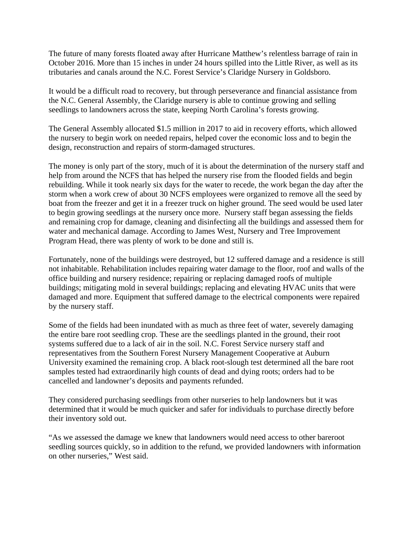The future of many forests floated away after Hurricane Matthew's relentless barrage of rain in October 2016. More than 15 inches in under 24 hours spilled into the Little River, as well as its tributaries and canals around the N.C. Forest Service's Claridge Nursery in Goldsboro.

It would be a difficult road to recovery, but through perseverance and financial assistance from the N.C. General Assembly, the Claridge nursery is able to continue growing and selling seedlings to landowners across the state, keeping North Carolina's forests growing.

The General Assembly allocated \$1.5 million in 2017 to aid in recovery efforts, which allowed the nursery to begin work on needed repairs, helped cover the economic loss and to begin the design, reconstruction and repairs of storm-damaged structures.

The money is only part of the story, much of it is about the determination of the nursery staff and help from around the NCFS that has helped the nursery rise from the flooded fields and begin rebuilding. While it took nearly six days for the water to recede, the work began the day after the storm when a work crew of about 30 NCFS employees were organized to remove all the seed by boat from the freezer and get it in a freezer truck on higher ground. The seed would be used later to begin growing seedlings at the nursery once more. Nursery staff began assessing the fields and remaining crop for damage, cleaning and disinfecting all the buildings and assessed them for water and mechanical damage. According to James West, Nursery and Tree Improvement Program Head, there was plenty of work to be done and still is.

Fortunately, none of the buildings were destroyed, but 12 suffered damage and a residence is still not inhabitable. Rehabilitation includes repairing water damage to the floor, roof and walls of the office building and nursery residence; repairing or replacing damaged roofs of multiple buildings; mitigating mold in several buildings; replacing and elevating HVAC units that were damaged and more. Equipment that suffered damage to the electrical components were repaired by the nursery staff.

Some of the fields had been inundated with as much as three feet of water, severely damaging the entire bare root seedling crop. These are the seedlings planted in the ground, their root systems suffered due to a lack of air in the soil. N.C. Forest Service nursery staff and representatives from the Southern Forest Nursery Management Cooperative at Auburn University examined the remaining crop. A black root-slough test determined all the bare root samples tested had extraordinarily high counts of dead and dying roots; orders had to be cancelled and landowner's deposits and payments refunded.

They considered purchasing seedlings from other nurseries to help landowners but it was determined that it would be much quicker and safer for individuals to purchase directly before their inventory sold out.

"As we assessed the damage we knew that landowners would need access to other bareroot seedling sources quickly, so in addition to the refund, we provided landowners with information on other nurseries," West said.